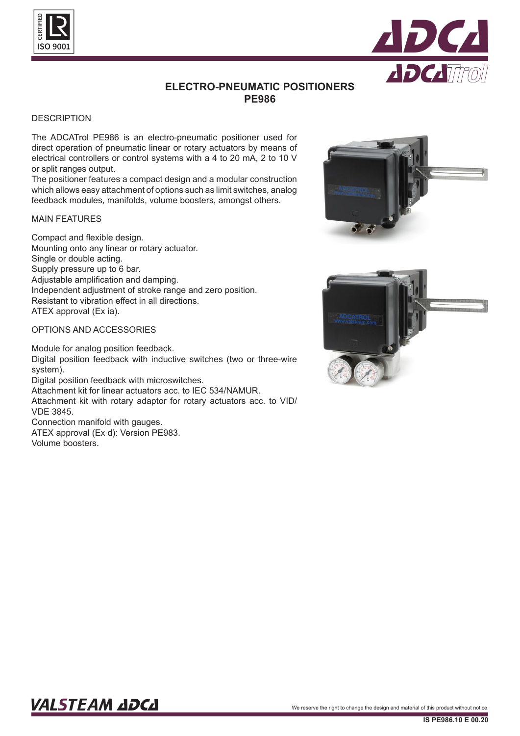



# **ELECTRO-PNEUMATIC POSITIONERS PE986**

### **DESCRIPTION**

The ADCATrol PE986 is an electro-pneumatic positioner used for direct operation of pneumatic linear or rotary actuators by means of electrical controllers or control systems with a 4 to 20 mA, 2 to 10 V or split ranges output.

The positioner features a compact design and a modular construction which allows easy attachment of options such as limit switches, analog feedback modules, manifolds, volume boosters, amongst others.

### MAIN FEATURES

Compact and flexible design. Mounting onto any linear or rotary actuator. Single or double acting. Supply pressure up to 6 bar. Adjustable amplification and damping. Independent adjustment of stroke range and zero position. Resistant to vibration effect in all directions. ATEX approval (Ex ia).

# OPTIONS AND ACCESSORIES

Module for analog position feedback. Digital position feedback with inductive switches (two or three-wire system). Digital position feedback with microswitches. Attachment kit for linear actuators acc. to IEC 534/NAMUR. Attachment kit with rotary adaptor for rotary actuators acc. to VID/ VDE 3845. Connection manifold with gauges. ATEX approval (Ex d): Version PE983. Volume boosters.





# VALSTEAM ADCA We reserve the right to change the design and material of this product without notice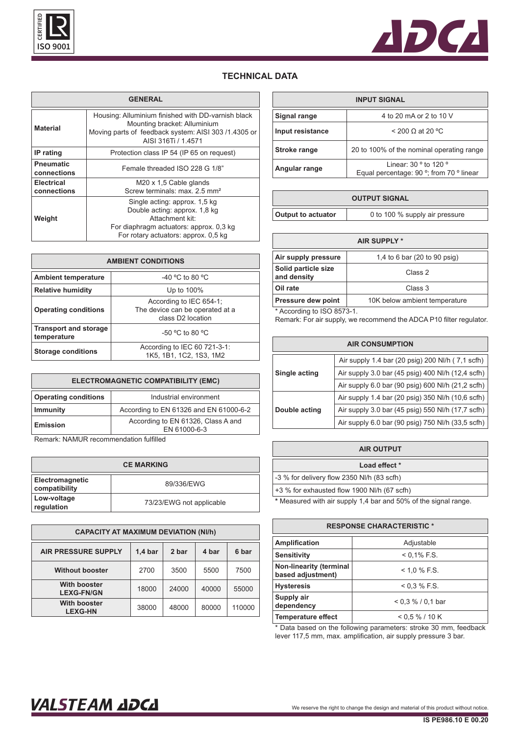



# **TECHNICAL DATA**

| <b>GENERAL</b>                   |                                                                                                                                                                      |  |
|----------------------------------|----------------------------------------------------------------------------------------------------------------------------------------------------------------------|--|
| <b>Material</b>                  | Housing: Alluminium finished with DD-varnish black<br>Mounting bracket: Alluminium<br>Moving parts of feedback system: AISI 303 /1.4305 or<br>AISI 316Ti / 1.4571    |  |
| IP rating                        | Protection class IP 54 (IP 65 on request)                                                                                                                            |  |
| <b>Pneumatic</b><br>connections  | Female threaded ISO 228 G 1/8"                                                                                                                                       |  |
| <b>Electrical</b><br>connections | M20 x 1.5 Cable glands<br>Screw terminals: max 2.5 mm <sup>2</sup>                                                                                                   |  |
| Weight                           | Single acting: approx. 1,5 kg<br>Double acting: approx. 1,8 kg<br>Attachment kit:<br>For diaphragm actuators: approx. 0,3 kg<br>For rotary actuators: approx. 0.5 kg |  |

| <b>AMBIENT CONDITIONS</b>                   |                                                                                             |  |
|---------------------------------------------|---------------------------------------------------------------------------------------------|--|
| <b>Ambient temperature</b>                  | $-40$ °C to 80 °C                                                                           |  |
| <b>Relative humidity</b>                    | Up to 100%                                                                                  |  |
| <b>Operating conditions</b>                 | According to IEC 654-1;<br>The device can be operated at a<br>class D <sub>2</sub> location |  |
| <b>Transport and storage</b><br>temperature | $-50$ °C to 80 °C                                                                           |  |
| <b>Storage conditions</b>                   | According to IEC 60 721-3-1:<br>1K5, 1B1, 1C2, 1S3, 1M2                                     |  |

| ELECTROMAGNETIC COMPATIBILITY (EMC)                   |                                                    |
|-------------------------------------------------------|----------------------------------------------------|
| <b>Operating conditions</b><br>Industrial environment |                                                    |
| <b>Immunity</b>                                       | According to EN 61326 and EN 61000-6-2             |
| Emission                                              | According to EN 61326, Class A and<br>EN 61000-6-3 |

Remark: NAMUR recommendation fulfilled

| <b>CE MARKING</b>                       |                          |  |
|-----------------------------------------|--------------------------|--|
| <b>Electromagnetic</b><br>compatibility | 89/336/EWG               |  |
| Low-voltage<br>regulation               | 73/23/EWG not applicable |  |

| <b>CAPACITY AT MAXIMUM DEVIATION (NI/h)</b> |           |       |       |        |
|---------------------------------------------|-----------|-------|-------|--------|
| <b>AIR PRESSURE SUPPLY</b>                  | $1,4$ bar | 2 bar | 4 bar | 6 bar  |
| <b>Without booster</b>                      | 2700      | 3500  | 5500  | 7500   |
| <b>With booster</b><br><b>LEXG-FN/GN</b>    | 18000     | 24000 | 40000 | 55000  |
| <b>With booster</b><br><b>LEXG-HN</b>       | 38000     | 48000 | 80000 | 110000 |

| <b>INPUT SIGNAL</b> |                                                                                       |
|---------------------|---------------------------------------------------------------------------------------|
| Signal range        | 4 to 20 mA or 2 to 10 V                                                               |
| Input resistance    | $<$ 200 $\Omega$ at 20 °C                                                             |
| <b>Stroke range</b> | 20 to 100% of the nominal operating range                                             |
| Angular range       | Linear: $30°$ to 120 $°$<br>Equal percentage: 90 $\degree$ ; from 70 $\degree$ linear |

| <b>OUTPUT SIGNAL</b> |                                |  |
|----------------------|--------------------------------|--|
| Output to actuator   | 0 to 100 % supply air pressure |  |

| <b>AIR SUPPLY *</b>                |                               |
|------------------------------------|-------------------------------|
| Air supply pressure                | 1,4 to 6 bar (20 to 90 psig)  |
| Solid particle size<br>and density | Class 2                       |
| Oil rate                           | Class 3                       |
| Pressure dew point                 | 10K below ambient temperature |
| $*$ According to ISO 8573-1        |                               |

According to ISO 8573-1.

Remark: For air supply, we recommend the ADCA P10 filter regulator.

| <b>AIR CONSUMPTION</b> |                                                   |  |
|------------------------|---------------------------------------------------|--|
|                        | Air supply 1.4 bar (20 psig) 200 Nl/h (7,1 scfh)  |  |
| Single acting          | Air supply 3.0 bar (45 psig) 400 Nl/h (12,4 scfh) |  |
|                        | Air supply 6.0 bar (90 psig) 600 NI/h (21,2 scfh) |  |
| Double acting          | Air supply 1.4 bar (20 psig) 350 Nl/h (10,6 scfh) |  |
|                        | Air supply 3.0 bar (45 psig) 550 Nl/h (17,7 scfh) |  |
|                        | Air supply 6.0 bar (90 psig) 750 Nl/h (33,5 scfh) |  |

| <b>AIR OUTPUT</b>                                              |  |
|----------------------------------------------------------------|--|
| Load effect *                                                  |  |
| -3 % for delivery flow 2350 NI/h (83 scfh)                     |  |
| $+3$ % for exhausted flow 1900 NI/h (67 scfh)                  |  |
| * Measured with air supply 1 4 har and 50% of the signal range |  |

**\*** Measured with air supply 1,4 bar and 50% of the signal range.

| <b>RESPONSE CHARACTERISTIC *</b>                    |                      |  |
|-----------------------------------------------------|----------------------|--|
| Amplification                                       | Adjustable           |  |
| <b>Sensitivity</b>                                  | $< 0.1\%$ F.S.       |  |
| <b>Non-linearity (terminal</b><br>based adjustment) | $< 1.0 \%$ F.S.      |  |
| <b>Hysteresis</b>                                   | < 0.3 % F.S.         |  |
| Supply air<br>dependency                            | $< 0.3 \% / 0.1$ bar |  |
| <b>Temperature effect</b>                           | $<$ 0.5 % / 10 K     |  |

\* Data based on the following parameters: stroke 30 mm, feedback lever 117,5 mm, max. amplification, air supply pressure 3 bar.

# VALSTEAM ADCA We reserve the right to change the design and material of this product without notice.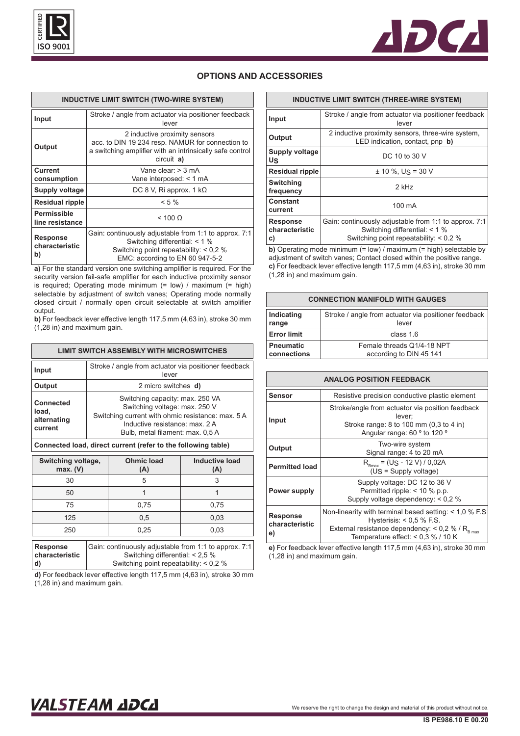



## **OPTIONS AND ACCESSORIES**

| <b>INDUCTIVE LIMIT SWITCH (TWO-WIRE SYSTEM)</b> |                                                                                                                                                                       |
|-------------------------------------------------|-----------------------------------------------------------------------------------------------------------------------------------------------------------------------|
| Input                                           | Stroke / angle from actuator via positioner feedback<br>lever                                                                                                         |
| Output                                          | 2 inductive proximity sensors<br>acc. to DIN 19 234 resp. NAMUR for connection to<br>a switching amplifier with an intrinsically safe control<br>circuit a)           |
| <b>Current</b><br>consumption                   | Vane clear $>$ 3 mA<br>Vane interposed: < 1 mA                                                                                                                        |
| Supply voltage                                  | DC 8 V, Ri approx. 1 $k\Omega$                                                                                                                                        |
| Residual ripple                                 | $< 5 \%$                                                                                                                                                              |
| Permissible<br>line resistance                  | $< 100 \Omega$                                                                                                                                                        |
| <b>Response</b><br>characteristic<br>b)         | Gain: continuously adjustable from 1:1 to approx. 7:1<br>Switching differential: < 1 %<br>Switching point repeatability: $< 0.2$ %<br>EMC: according to EN 60 947-5-2 |

**a)** For the standard version one switching amplifier is required. For the security version fail-safe amplifier for each inductive proximity sensor is required; Operating mode minimum (= low) / maximum (= high) selectable by adjustment of switch vanes; Operating mode normally closed circuit / normally open circuit selectable at switch amplifier output.

**b)** For feedback lever effective length 117,5 mm (4,63 in), stroke 30 mm (1,28 in) and maximum gain.

| LIMIT SWITCH ASSEMBLY WITH MICROSWITCHES     |                                                                                                                                                                                             |  |
|----------------------------------------------|---------------------------------------------------------------------------------------------------------------------------------------------------------------------------------------------|--|
| Input                                        | Stroke / angle from actuator via positioner feedback<br>lever                                                                                                                               |  |
| Output                                       | 2 micro switches <b>d)</b>                                                                                                                                                                  |  |
| Connected<br>load,<br>alternating<br>current | Switching capacity: max. 250 VA<br>Switching voltage: max. 250 V<br>Switching current with ohmic resistance: max. 5 A<br>Inductive resistance: max. 2 A<br>Bulb, metal filament: max. 0,5 A |  |
|                                              |                                                                                                                                                                                             |  |

### **Connected load, direct current (refer to the following table)**

| Switching voltage,<br>max. (V)                                          | <b>Ohmic load</b><br>(A) | <b>Inductive load</b><br>(A) |
|-------------------------------------------------------------------------|--------------------------|------------------------------|
| 30                                                                      | 5                        | 3                            |
| 50                                                                      |                          |                              |
| 75                                                                      | 0,75                     | 0,75                         |
| 125                                                                     | 0,5                      | 0,03                         |
| 250                                                                     | 0,25                     | 0,03                         |
| Cointeatinuously odjustable from 1.1 to opprove 7.1<br><b>Desperant</b> |                          |                              |

| Response       | Gain: continuously adjustable from 1:1 to approx. 7:1 |
|----------------|-------------------------------------------------------|
| characteristic | Switching differential: $< 2.5 \%$                    |
| d)             | Switching point repeatability: $< 0.2$ %              |

**d)** For feedback lever effective length 117,5 mm (4,63 in), stroke 30 mm (1,28 in) and maximum gain.

| <b>INDUCTIVE LIMIT SWITCH (THREE-WIRE SYSTEM)</b> |                                                                                                                                  |  |
|---------------------------------------------------|----------------------------------------------------------------------------------------------------------------------------------|--|
| Input                                             | Stroke / angle from actuator via positioner feedback<br>lever                                                                    |  |
| Output                                            | 2 inductive proximity sensors, three-wire system,<br>LED indication, contact, pnp b)                                             |  |
| Supply voltage<br>US                              | DC 10 to 30 V                                                                                                                    |  |
| <b>Residual ripple</b>                            | $\pm$ 10 %. Us = 30 V                                                                                                            |  |
| <b>Switching</b><br>frequency                     | $2$ kHz                                                                                                                          |  |
| Constant<br>current                               | 100 mA                                                                                                                           |  |
| <b>Response</b><br>characteristic<br>C)           | Gain: continuously adjustable from 1:1 to approx. 7:1<br>Switching differential: < 1 %<br>Switching point repeatability: < 0.2 % |  |

**b)** Operating mode minimum (= low) / maximum (= high) selectable by adjustment of switch vanes; Contact closed within the positive range. **c)** For feedback lever effective length 117,5 mm (4,63 in), stroke 30 mm (1,28 in) and maximum gain.

| <b>CONNECTION MANIFOLD WITH GAUGES</b> |                                                      |  |
|----------------------------------------|------------------------------------------------------|--|
| Indicating                             | Stroke / angle from actuator via positioner feedback |  |
| range                                  | lever                                                |  |
| <b>Error limit</b>                     | class $16$                                           |  |
| <b>Pneumatic</b>                       | Female threads Q1/4-18 NPT                           |  |
| connections                            | according to DIN 45 141                              |  |

| <b>ANALOG POSITION FEEDBACK</b>  |                                                                                                                                                                                              |  |
|----------------------------------|----------------------------------------------------------------------------------------------------------------------------------------------------------------------------------------------|--|
| <b>Sensor</b>                    | Resistive precision conductive plastic element                                                                                                                                               |  |
| Input                            | Stroke/angle from actuator via position feedback<br>lever:<br>Stroke range: 8 to 100 mm (0,3 to 4 in)<br>Angular range: 60 ° to 120 °                                                        |  |
| Output                           | Two-wire system<br>Signal range: 4 to 20 mA                                                                                                                                                  |  |
| <b>Permitted load</b>            | $R_{Bmax}$ = (US - 12 V) / 0,02A<br>$(Us = Supply voltage)$                                                                                                                                  |  |
| Power supply                     | Supply voltage: DC 12 to 36 V<br>Permitted ripple: $<$ 10 % p.p.<br>Supply voltage dependency: $< 0.2$ %                                                                                     |  |
| Response<br>characteristic<br>e) | Non-linearity with terminal based setting: $<$ 1,0 % F.S<br>Hysterisis: $< 0.5$ % F.S.<br>External resistance dependency: < 0,2 % / $R_{B\text{ max}}$<br>Temperature effect: < 0,3 % / 10 K |  |

**e)** For feedback lever effective length 117,5 mm (4,63 in), stroke 30 mm (1,28 in) and maximum gain.

# VALSTEAM ADCA We reserve the right to change the design and material of this product without notice.